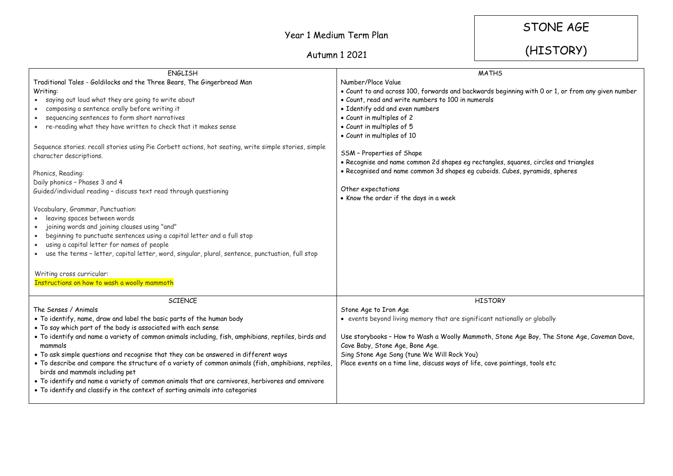## Year 1 Medium Term Plan

STONE AGE

## Autumn 1 2021

## (HISTORY)

| <b>ENGLISH</b>                                                                                        | <b>MATHS</b>                                                                                      |
|-------------------------------------------------------------------------------------------------------|---------------------------------------------------------------------------------------------------|
| Traditional Tales - Goldilocks and the Three Bears, The Gingerbread Man                               | Number/Place Value                                                                                |
| Writing:                                                                                              | . Count to and across 100, forwards and backwards beginning with 0 or 1, or from any given number |
| • saying out loud what they are going to write about                                                  | • Count, read and write numbers to 100 in numerals                                                |
| composing a sentence orally before writing it                                                         | · Identify odd and even numbers                                                                   |
| sequencing sentences to form short narratives<br>$\bullet$                                            | • Count in multiples of 2                                                                         |
| re-reading what they have written to check that it makes sense<br>$\bullet$                           | • Count in multiples of 5                                                                         |
|                                                                                                       | • Count in multiples of 10                                                                        |
| Sequence stories. recall stories using Pie Corbett actions, hot seating, write simple stories, simple |                                                                                                   |
| character descriptions.                                                                               | SSM - Properties of Shape                                                                         |
|                                                                                                       | . Recognise and name common 2d shapes eg rectangles, squares, circles and triangles               |
| Phonics, Reading:                                                                                     | · Recognised and name common 3d shapes eg cuboids. Cubes, pyramids, spheres                       |
| Daily phonics - Phases 3 and 4                                                                        |                                                                                                   |
| Guided/individual reading - discuss text read through questioning                                     | Other expectations                                                                                |
|                                                                                                       | • Know the order if the days in a week                                                            |
| Vocabulary, Grammar, Punctuation:                                                                     |                                                                                                   |
| leaving spaces between words<br>$\bullet$                                                             |                                                                                                   |
| joining words and joining clauses using "and"                                                         |                                                                                                   |
| beginning to punctuate sentences using a capital letter and a full stop<br>$\bullet$                  |                                                                                                   |
| using a capital letter for names of people                                                            |                                                                                                   |
| • use the terms - letter, capital letter, word, singular, plural, sentence, punctuation, full stop    |                                                                                                   |
|                                                                                                       |                                                                                                   |
| Writing cross curricular:                                                                             |                                                                                                   |
| Instructions on how to wash a woolly mammoth                                                          |                                                                                                   |
|                                                                                                       |                                                                                                   |
| SCIENCE                                                                                               | <b>HISTORY</b>                                                                                    |
| The Senses / Animals                                                                                  | Stone Age to Iron Age                                                                             |
| . To identify, name, draw and label the basic parts of the human body                                 | • events beyond living memory that are significant nationally or globally                         |
| . To say which part of the body is associated with each sense                                         |                                                                                                   |
| . To identify and name a variety of common animals including, fish, amphibians, reptiles, birds and   | Use storybooks - How to Wash a Woolly Mammoth, Stone Age Boy, The Stone Age, Caveman Dave,        |
| mammals                                                                                               | Cave Baby, Stone Age, Bone Age.                                                                   |
| . To ask simple questions and recognise that they can be answered in different ways                   | Sing Stone Age Song (tune We Will Rock You)                                                       |
| . To describe and compare the structure of a variety of common animals (fish, amphibians, reptiles,   | Place events on a time line, discuss ways of life, cave paintings, tools etc                      |
| birds and mammals including pet                                                                       |                                                                                                   |
| . To identify and name a variety of common animals that are carnivores, herbivores and omnivore       |                                                                                                   |
| • To identify and classify in the context of sorting animals into categories                          |                                                                                                   |
|                                                                                                       |                                                                                                   |